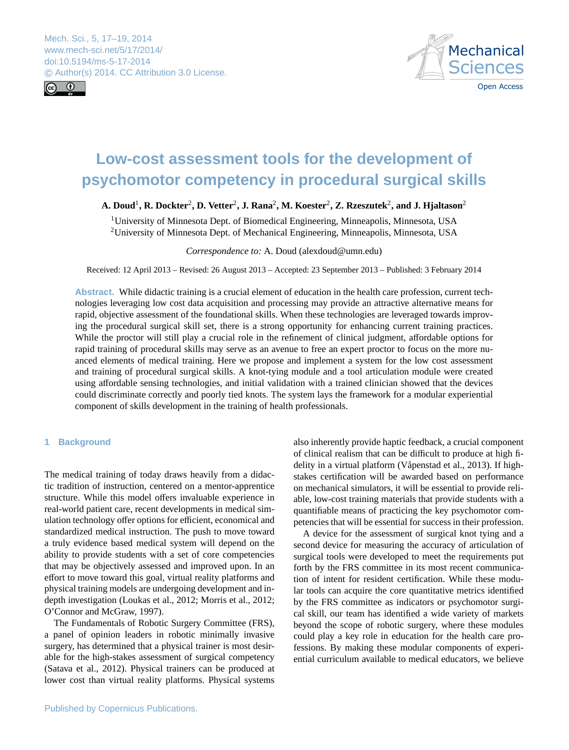<span id="page-0-0"></span>Mech. Sci., 5, 17–19, 2014 www.mech-sci.net/5/17/2014/ doi:10.5194/ms-5-17-2014 © Author(s) 2014. CC Attribution 3.0 License.





# **Low-cost assessment tools for the development of psychomotor competency in procedural surgical skills**

## $\bf{A.}$  Doud<sup>1</sup>,  $\bf{R.}$  Dockter<sup>2</sup>,  $\bf{D.}$  Vetter<sup>2</sup>,  $\bf{J.}$  Rana<sup>2</sup>,  $\bf{M.}$  Koester<sup>2</sup>,  $\bf{Z.}$  Rzeszutek<sup>2</sup>, and  $\bf{J.}$  Hjaltason<sup>2</sup>

<sup>1</sup>University of Minnesota Dept. of Biomedical Engineering, Minneapolis, Minnesota, USA <sup>2</sup>University of Minnesota Dept. of Mechanical Engineering, Minneapolis, Minnesota, USA

*Correspondence to:* A. Doud (alexdoud@umn.edu)

Received: 12 April 2013 – Revised: 26 August 2013 – Accepted: 23 September 2013 – Published: 3 February 2014

**Abstract.** While didactic training is a crucial element of education in the health care profession, current technologies leveraging low cost data acquisition and processing may provide an attractive alternative means for rapid, objective assessment of the foundational skills. When these technologies are leveraged towards improving the procedural surgical skill set, there is a strong opportunity for enhancing current training practices. While the proctor will still play a crucial role in the refinement of clinical judgment, affordable options for rapid training of procedural skills may serve as an avenue to free an expert proctor to focus on the more nuanced elements of medical training. Here we propose and implement a system for the low cost assessment and training of procedural surgical skills. A knot-tying module and a tool articulation module were created using affordable sensing technologies, and initial validation with a trained clinician showed that the devices could discriminate correctly and poorly tied knots. The system lays the framework for a modular experiential component of skills development in the training of health professionals.

## **1 Background**

The medical training of today draws heavily from a didactic tradition of instruction, centered on a mentor-apprentice structure. While this model offers invaluable experience in real-world patient care, recent developments in medical simulation technology offer options for efficient, economical and standardized medical instruction. The push to move toward a truly evidence based medical system will depend on the ability to provide students with a set of core competencies that may be objectively assessed and improved upon. In an effort to move toward this goal, virtual reality platforms and physical training models are undergoing development and indepth investigation (Loukas et al., 2012; Morris et al., 2012; O'Connor and McGraw, 1997).

The Fundamentals of Robotic Surgery Committee (FRS), a panel of opinion leaders in robotic minimally invasive surgery, has determined that a physical trainer is most desirable for the high-stakes assessment of surgical competency (Satava et al., 2012). Physical trainers can be produced at lower cost than virtual reality platforms. Physical systems also inherently provide haptic feedback, a crucial component of clinical realism that can be difficult to produce at high fidelity in a virtual platform (Våpenstad et al., 2013). If highstakes certification will be awarded based on performance on mechanical simulators, it will be essential to provide reliable, low-cost training materials that provide students with a quantifiable means of practicing the key psychomotor competencies that will be essential for success in their profession.

A device for the assessment of surgical knot tying and a second device for measuring the accuracy of articulation of surgical tools were developed to meet the requirements put forth by the FRS committee in its most recent communication of intent for resident certification. While these modular tools can acquire the core quantitative metrics identified by the FRS committee as indicators or psychomotor surgical skill, our team has identified a wide variety of markets beyond the scope of robotic surgery, where these modules could play a key role in education for the health care professions. By making these modular components of experiential curriculum available to medical educators, we believe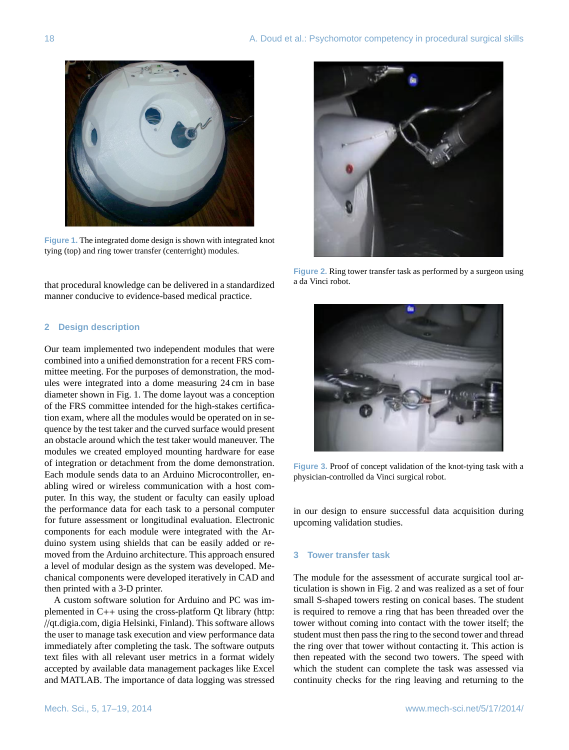

**Figure 3: The integrated dome design is shown with Figure 1.** The integrated dome design is shown with integrated knot **right) modules.** tying (top) and ring tower transfer (centerright) modules.

that procedural knowledge can be delivered in a standardized manner conducive to evidence-based medical practice.

## **2 Design description**

tion exam, where all the modules would be operated on in sequence by the test taker and the curved surface would present chanical components were developed iteratively in CAD and then printed with a 3-D printer. Our team implemented two independent modules that were combined into a unified demonstration for a recent FRS committee meeting. For the purposes of demonstration, the modules were integrated into a dome measuring 24 cm in base diameter shown in Fig. 1. The dome layout was a conception of the FRS committee intended for the high-stakes certificaan obstacle around which the test taker would maneuver. The modules we created employed mounting hardware for ease of integration or detachment from the dome demonstration. Each module sends data to an Arduino Microcontroller, enabling wired or wireless communication with a host computer. In this way, the student or faculty can easily upload the performance data for each task to a personal computer for future assessment or longitudinal evaluation. Electronic components for each module were integrated with the Arduino system using shields that can be easily added or removed from the Arduino architecture. This approach ensured a level of modular design as the system was developed. Me-

A custom software solution for Arduino and PC was implemented in C++ using the cross-platform Qt library [\(http:](http://qt.digia.com) //[qt.digia.com,](http://qt.digia.com) digia Helsinki, Finland). This software allows the user to manage task execution and view performance data immediately after completing the task. The software outputs text files with all relevant user metrics in a format widely accepted by available data management packages like Excel and MATLAB. The importance of data logging was stressed



**Figure 2.** Ring tower transfer task as performed by a surgeon using a da Vinci robot **performed by a surgeon using a da Vinci robot.** a da Vinci robot. **performed by a surgeon using a da Vinci robot.**



**E** 3. Proof of concept validation of the knot-tying task w **tying task with a physician-controlled da Vinci surgical robot.** physician-controlled da Vinci surgical robot. **Figure 3.** Proof of concept validation of the knot-tying task with a

in our design to ensure successful data acquisition during upcoming validation studies.

#### **3 Tower transfer task**

is required to remove a ring that has been threaded over the The module for the assessment of accurate surgical tool articulation is shown in Fig. 2 and was realized as a set of four small S-shaped towers resting on conical bases. The student tower without coming into contact with the tower itself; the student must then pass the ring to the second tower and thread the ring over that tower without contacting it. This action is then repeated with the second two towers. The speed with which the student can complete the task was assessed via continuity checks for the ring leaving and returning to the